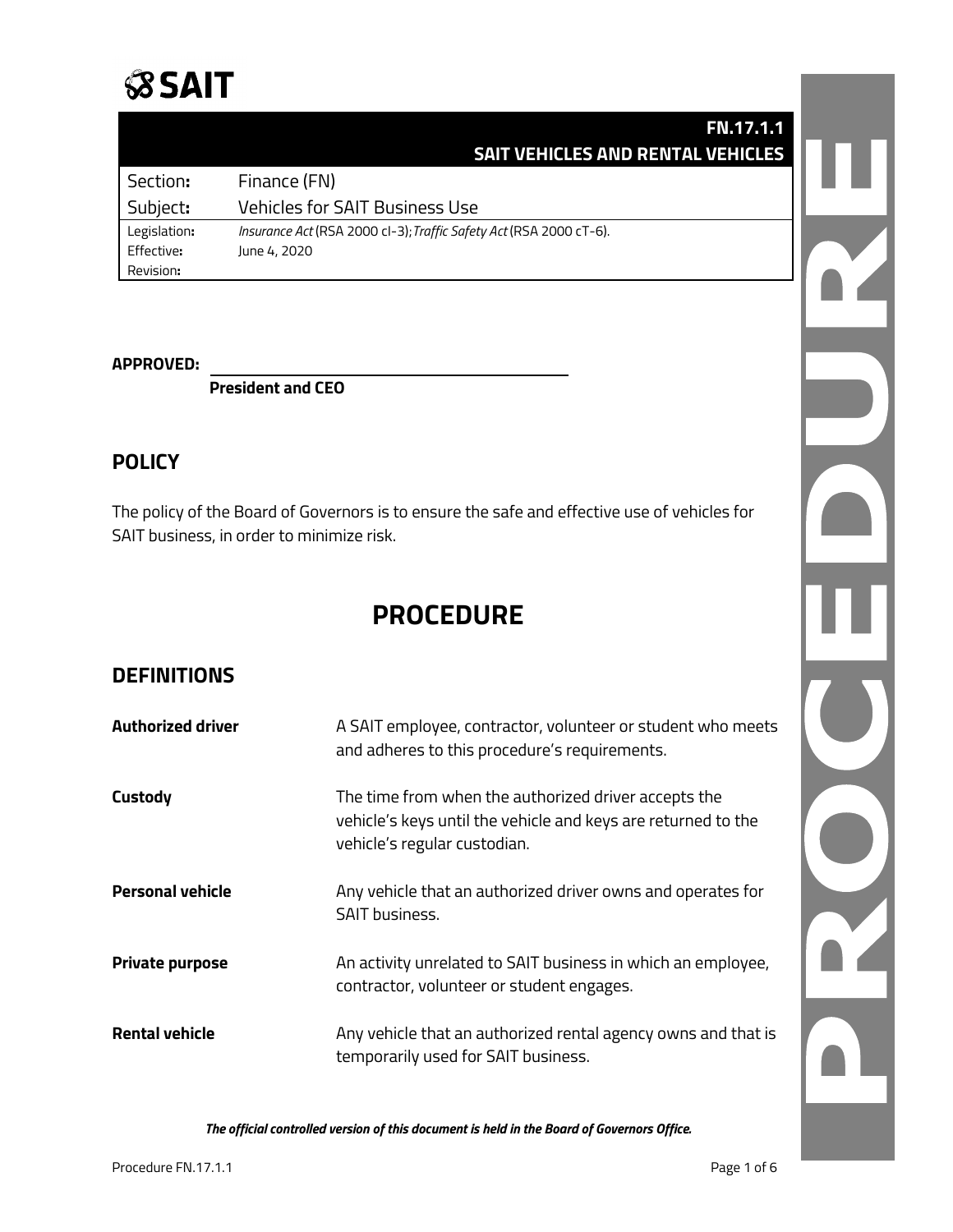# **SSAIT**

|              | <b>FN.17.1.1</b>                                                   |
|--------------|--------------------------------------------------------------------|
|              | <b>SAIT VEHICLES AND RENTAL VEHICLES</b>                           |
| Section:     | Finance (FN)                                                       |
| Subject:     | <b>Vehicles for SAIT Business Use</b>                              |
| Legislation: | Insurance Act (RSA 2000 cl-3); Traffic Safety Act (RSA 2000 cT-6). |
| Effective:   | June 4, 2020                                                       |
| Revision:    |                                                                    |

#### **APPROVED:**

**President and CEO**

### **POLICY**

The policy of the Board of Governors is to ensure the safe and effective use of vehicles for SAIT business, in order to minimize risk.

# **PROCEDURE**

## **DEFINITIONS**

| <b>Authorized driver</b> | A SAIT employee, contractor, volunteer or student who meets<br>and adheres to this procedure's requirements.                                          |
|--------------------------|-------------------------------------------------------------------------------------------------------------------------------------------------------|
| Custody                  | The time from when the authorized driver accepts the<br>vehicle's keys until the vehicle and keys are returned to the<br>vehicle's regular custodian. |
| <b>Personal vehicle</b>  | Any vehicle that an authorized driver owns and operates for<br><b>SAIT business.</b>                                                                  |
| <b>Private purpose</b>   | An activity unrelated to SAIT business in which an employee,<br>contractor, volunteer or student engages.                                             |
| <b>Rental vehicle</b>    | Any vehicle that an authorized rental agency owns and that is<br>temporarily used for SAIT business.                                                  |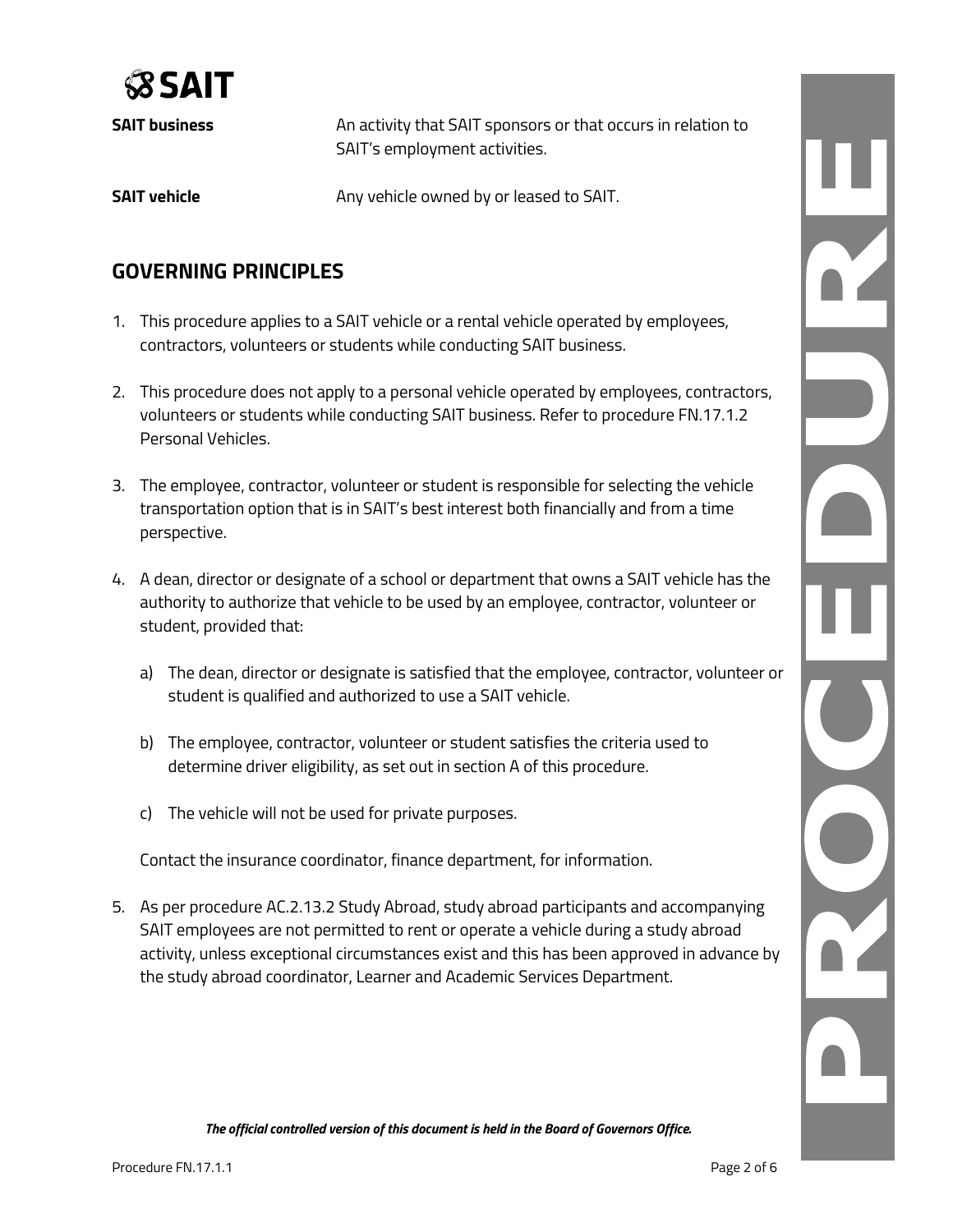

**SAIT business An activity that SAIT sponsors or that occurs in relation to** SAIT's employment activities. **SAIT vehicle** Any vehicle owned by or leased to SAIT.

# **GOVERNING PRINCIPLES**

- 1. This procedure applies to a SAIT vehicle or a rental vehicle operated by employees, contractors, volunteers or students while conducting SAIT business.
- 2. This procedure does not apply to a personal vehicle operated by employees, contractors, volunteers or students while conducting SAIT business. Refer to procedure FN.17.1.2 Personal Vehicles.
- 3. The employee, contractor, volunteer or student is responsible for selecting the vehicle transportation option that is in SAIT's best interest both financially and from a time perspective.
- 4. A dean, director or designate of a school or department that owns a SAIT vehicle has the authority to authorize that vehicle to be used by an employee, contractor, volunteer or student, provided that:
	- a) The dean, director or designate is satisfied that the employee, contractor, volunteer or student is qualified and authorized to use a SAIT vehicle.
	- b) The employee, contractor, volunteer or student satisfies the criteria used to determine driver eligibility, as set out in section A of this procedure.
	- c) The vehicle will not be used for private purposes.

Contact the insurance coordinator, finance department, for information.

5. As per procedure AC.2.13.2 Study Abroad, study abroad participants and accompanying SAIT employees are not permitted to rent or operate a vehicle during a study abroad activity, unless exceptional circumstances exist and this has been approved in advance by the study abroad coordinator, Learner and Academic Services Department.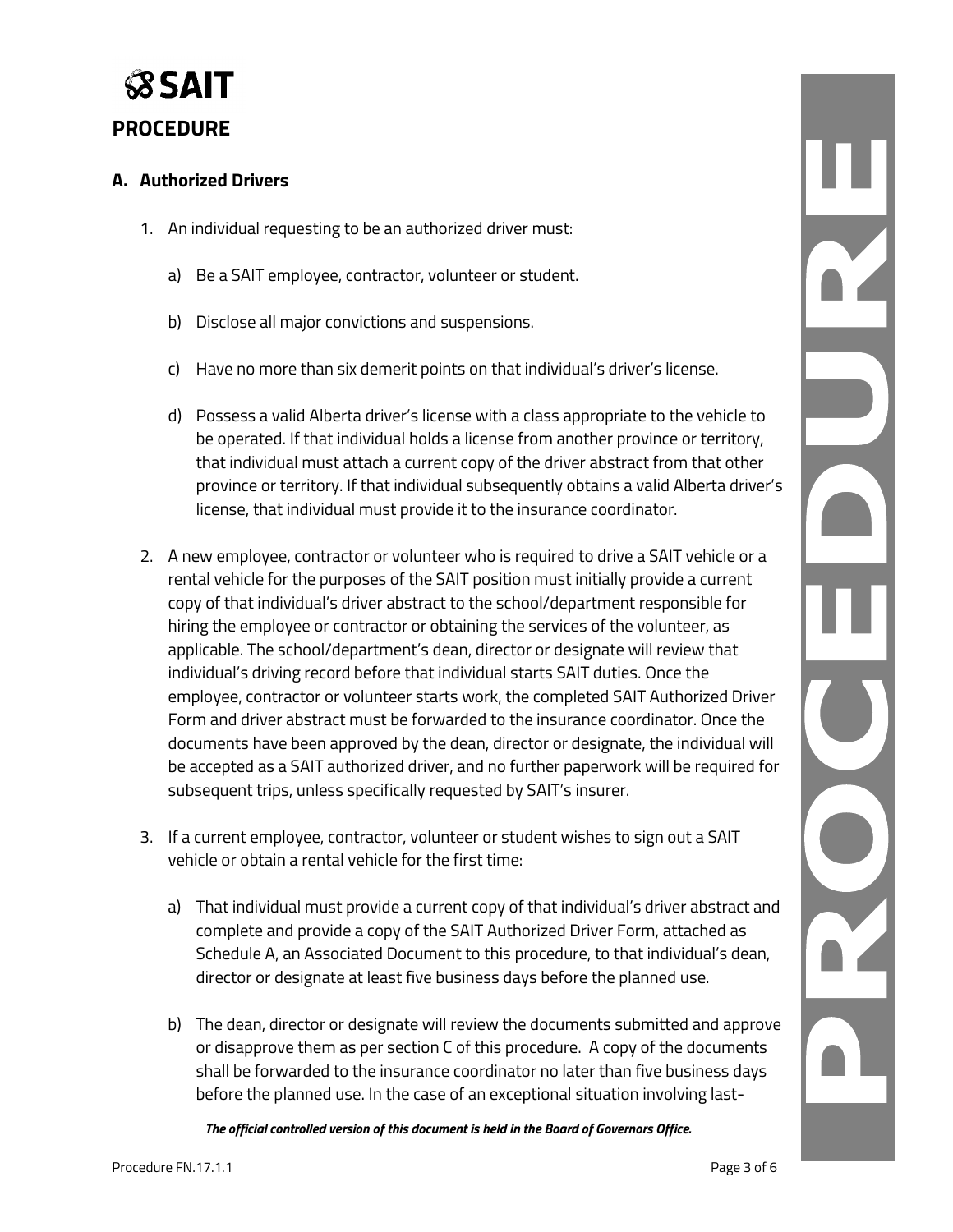

## **PROCEDURE**

#### **A. Authorized Drivers**

- 1. An individual requesting to be an authorized driver must:
	- a) Be a SAIT employee, contractor, volunteer or student.
	- b) Disclose all major convictions and suspensions.
	- c) Have no more than six demerit points on that individual's driver's license.
	- d) Possess a valid Alberta driver's license with a class appropriate to the vehicle to be operated. If that individual holds a license from another province or territory, that individual must attach a current copy of the driver abstract from that other province or territory. If that individual subsequently obtains a valid Alberta driver's license, that individual must provide it to the insurance coordinator.
- 2. A new employee, contractor or volunteer who is required to drive a SAIT vehicle or a rental vehicle for the purposes of the SAIT position must initially provide a current copy of that individual's driver abstract to the school/department responsible for hiring the employee or contractor or obtaining the services of the volunteer, as applicable. The school/department's dean, director or designate will review that individual's driving record before that individual starts SAIT duties. Once the employee, contractor or volunteer starts work, the completed SAIT Authorized Driver Form and driver abstract must be forwarded to the insurance coordinator. Once the documents have been approved by the dean, director or designate, the individual will be accepted as a SAIT authorized driver, and no further paperwork will be required for subsequent trips, unless specifically requested by SAIT's insurer.
- 3. If a current employee, contractor, volunteer or student wishes to sign out a SAIT vehicle or obtain a rental vehicle for the first time:
	- a) That individual must provide a current copy of that individual's driver abstract and complete and provide a copy of the SAIT Authorized Driver Form, attached as Schedule A, an Associated Document to this procedure, to that individual's dean, director or designate at least five business days before the planned use.
	- b) The dean, director or designate will review the documents submitted and approve or disapprove them as per section C of this procedure. A copy of the documents shall be forwarded to the insurance coordinator no later than five business days before the planned use. In the case of an exceptional situation involving last-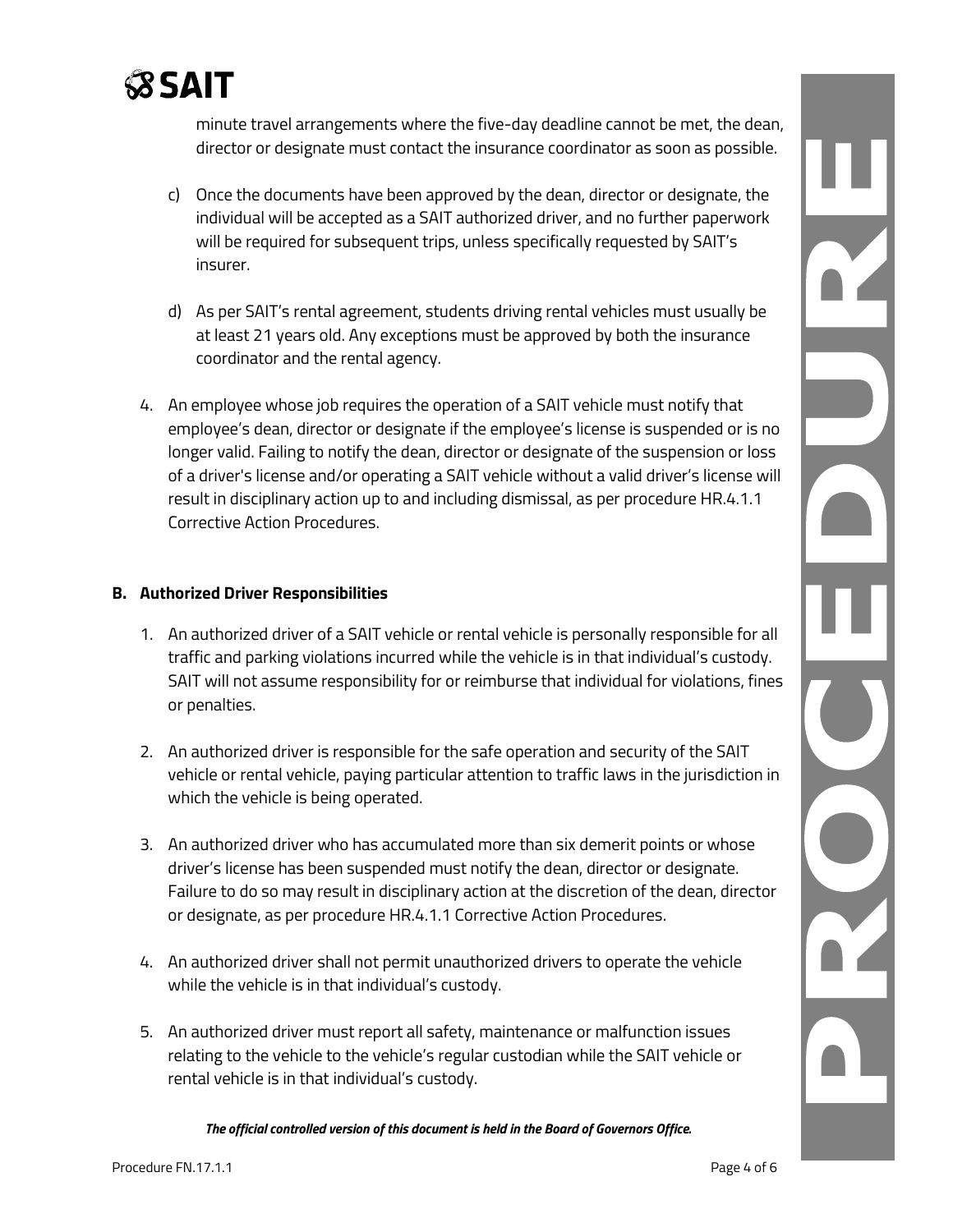

minute travel arrangements where the five-day deadline cannot be met, the dean, director or designate must contact the insurance coordinator as soon as possible.

- c) Once the documents have been approved by the dean, director or designate, the individual will be accepted as a SAIT authorized driver, and no further paperwork will be required for subsequent trips, unless specifically requested by SAIT's insurer.
- d) As per SAIT's rental agreement, students driving rental vehicles must usually be at least 21 years old. Any exceptions must be approved by both the insurance coordinator and the rental agency.
- 4. An employee whose job requires the operation of a SAIT vehicle must notify that employee's dean, director or designate if the employee's license is suspended or is no longer valid. Failing to notify the dean, director or designate of the suspension or loss of a driver's license and/or operating a SAIT vehicle without a valid driver's license will result in disciplinary action up to and including dismissal, as per procedure HR.4.1.1 Corrective Action Procedures.

#### **B. Authorized Driver Responsibilities**

- 1. An authorized driver of a SAIT vehicle or rental vehicle is personally responsible for all traffic and parking violations incurred while the vehicle is in that individual's custody. SAIT will not assume responsibility for or reimburse that individual for violations, fines or penalties.
- 2. An authorized driver is responsible for the safe operation and security of the SAIT vehicle or rental vehicle, paying particular attention to traffic laws in the jurisdiction in which the vehicle is being operated.
- 3. An authorized driver who has accumulated more than six demerit points or whose driver's license has been suspended must notify the dean, director or designate. Failure to do so may result in disciplinary action at the discretion of the dean, director or designate, as per procedure HR.4.1.1 Corrective Action Procedures.
- 4. An authorized driver shall not permit unauthorized drivers to operate the vehicle while the vehicle is in that individual's custody.
- 5. An authorized driver must report all safety, maintenance or malfunction issues relating to the vehicle to the vehicle's regular custodian while the SAIT vehicle or rental vehicle is in that individual's custody.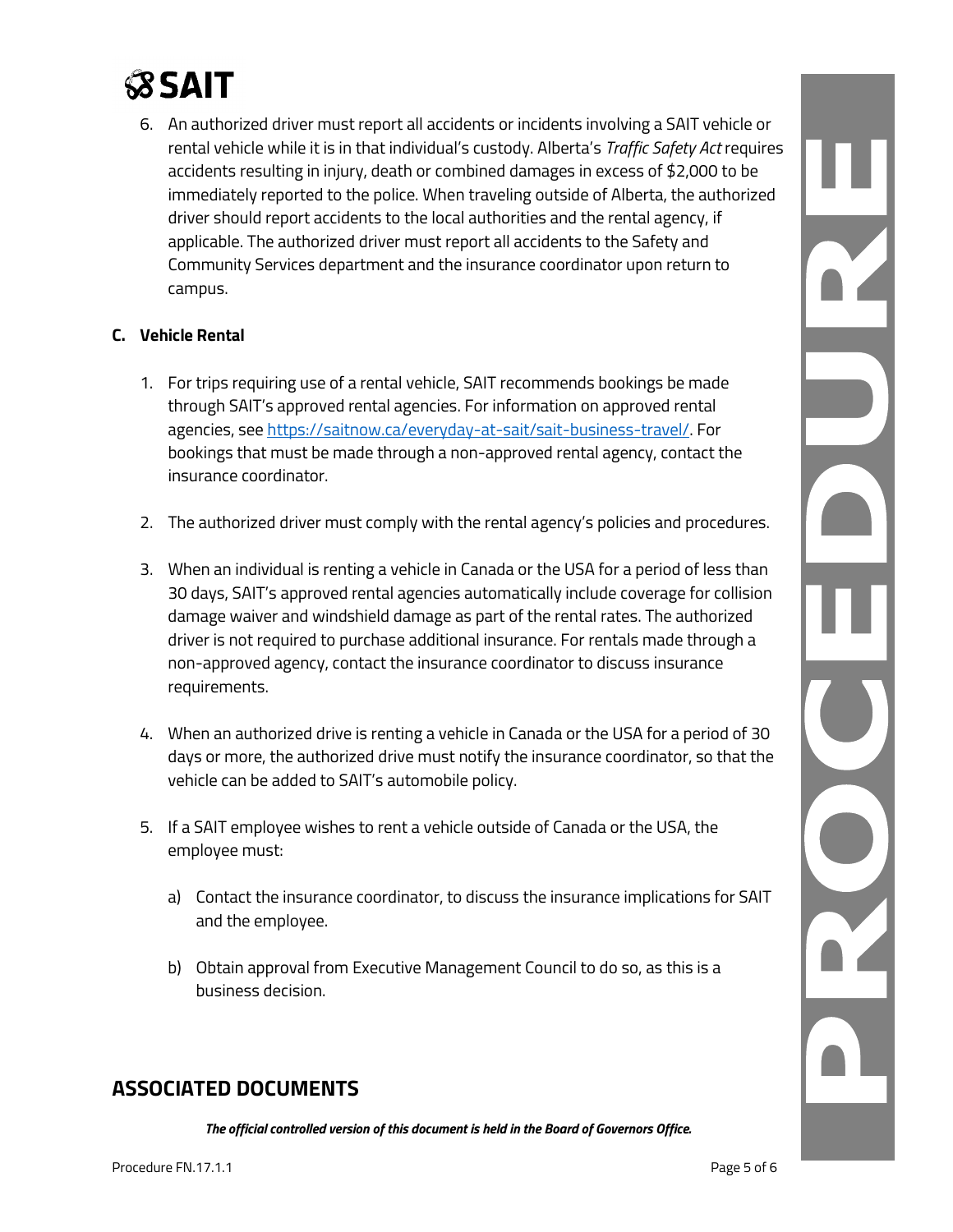# **SSAIT**

6. An authorized driver must report all accidents or incidents involving a SAIT vehicle or rental vehicle while it is in that individual's custody. Alberta's *Traffic Safety Act* requires accidents resulting in injury, death or combined damages in excess of \$2,000 to be immediately reported to the police. When traveling outside of Alberta, the authorized driver should report accidents to the local authorities and the rental agency, if applicable. The authorized driver must report all accidents to the Safety and Community Services department and the insurance coordinator upon return to campus.

#### **C. Vehicle Rental**

- 1. For trips requiring use of a rental vehicle, SAIT recommends bookings be made through SAIT's approved rental agencies. For information on approved rental agencies, see [https://saitnow.ca/everyday-at-sait/sait-business-travel/.](https://saitnow.ca/everyday-at-sait/sait-business-travel/) For bookings that must be made through a non-approved rental agency, contact the insurance coordinator.
- 2. The authorized driver must comply with the rental agency's policies and procedures.
- 3. When an individual is renting a vehicle in Canada or the USA for a period of less than 30 days, SAIT's approved rental agencies automatically include coverage for collision damage waiver and windshield damage as part of the rental rates. The authorized driver is not required to purchase additional insurance. For rentals made through a non-approved agency, contact the insurance coordinator to discuss insurance requirements.
- 4. When an authorized drive is renting a vehicle in Canada or the USA for a period of 30 days or more, the authorized drive must notify the insurance coordinator, so that the vehicle can be added to SAIT's automobile policy.
- 5. If a SAIT employee wishes to rent a vehicle outside of Canada or the USA, the employee must:
	- a) Contact the insurance coordinator, to discuss the insurance implications for SAIT and the employee.
	- b) Obtain approval from Executive Management Council to do so, as this is a business decision.

# **ASSOCIATED DOCUMENTS**